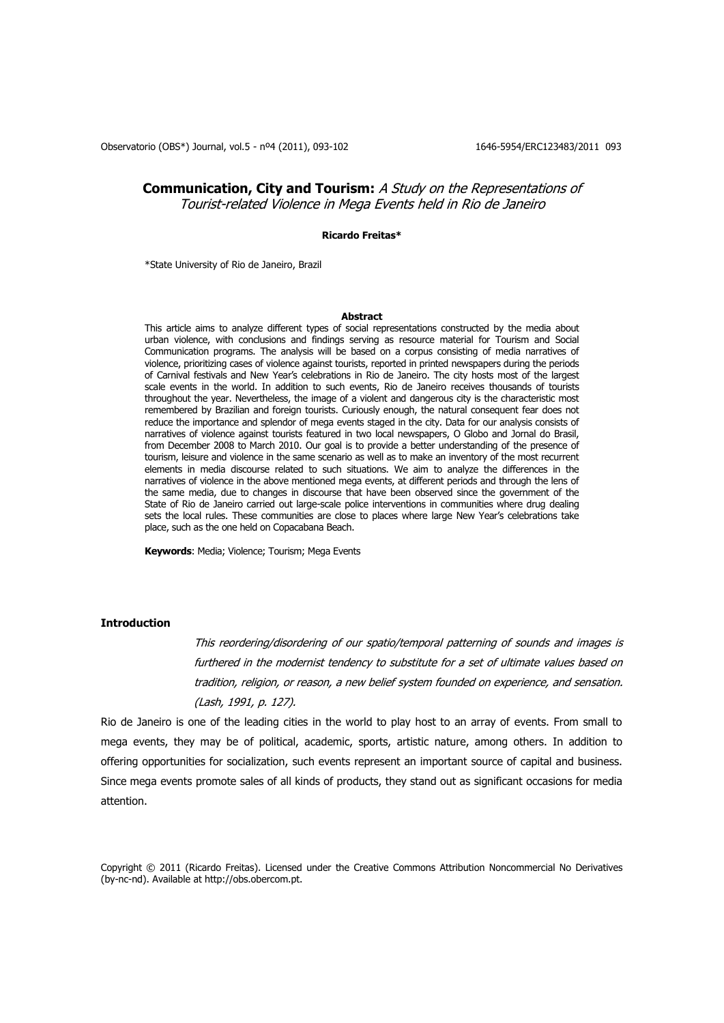Observatorio (OBS\*) Journal, vol.5 - nº4 (2011), 093-102 1646-5954/ERC123483/2011 093

# **Communication, City and Tourism:** A Study on the Representations of Tourist-related Violence in Mega Events held in Rio de Janeiro

### **Ricardo Freitas\***

\*State University of Rio de Janeiro, Brazil

### **Abstract**

This article aims to analyze different types of social representations constructed by the media about urban violence, with conclusions and findings serving as resource material for Tourism and Social Communication programs. The analysis will be based on a corpus consisting of media narratives of violence, prioritizing cases of violence against tourists, reported in printed newspapers during the periods of Carnival festivals and New Year's celebrations in Rio de Janeiro. The city hosts most of the largest scale events in the world. In addition to such events, Rio de Janeiro receives thousands of tourists throughout the year. Nevertheless, the image of a violent and dangerous city is the characteristic most remembered by Brazilian and foreign tourists. Curiously enough, the natural consequent fear does not reduce the importance and splendor of mega events staged in the city. Data for our analysis consists of narratives of violence against tourists featured in two local newspapers, O Globo and Jornal do Brasil, from December 2008 to March 2010. Our goal is to provide a better understanding of the presence of tourism, leisure and violence in the same scenario as well as to make an inventory of the most recurrent elements in media discourse related to such situations. We aim to analyze the differences in the narratives of violence in the above mentioned mega events, at different periods and through the lens of the same media, due to changes in discourse that have been observed since the government of the State of Rio de Janeiro carried out large-scale police interventions in communities where drug dealing sets the local rules. These communities are close to places where large New Year's celebrations take place, such as the one held on Copacabana Beach.

**Keywords**: Media; Violence; Tourism; Mega Events

## **Introduction**

This reordering/disordering of our spatio/temporal patterning of sounds and images is furthered in the modernist tendency to substitute for a set of ultimate values based on tradition, religion, or reason, a new belief system founded on experience, and sensation. (Lash, 1991, p. 127).

Rio de Janeiro is one of the leading cities in the world to play host to an array of events. From small to mega events, they may be of political, academic, sports, artistic nature, among others. In addition to offering opportunities for socialization, such events represent an important source of capital and business. Since mega events promote sales of all kinds of products, they stand out as significant occasions for media attention.

Copyright © 2011 (Ricardo Freitas). Licensed under the Creative Commons Attribution Noncommercial No Derivatives (by-nc-nd). Available at http://obs.obercom.pt.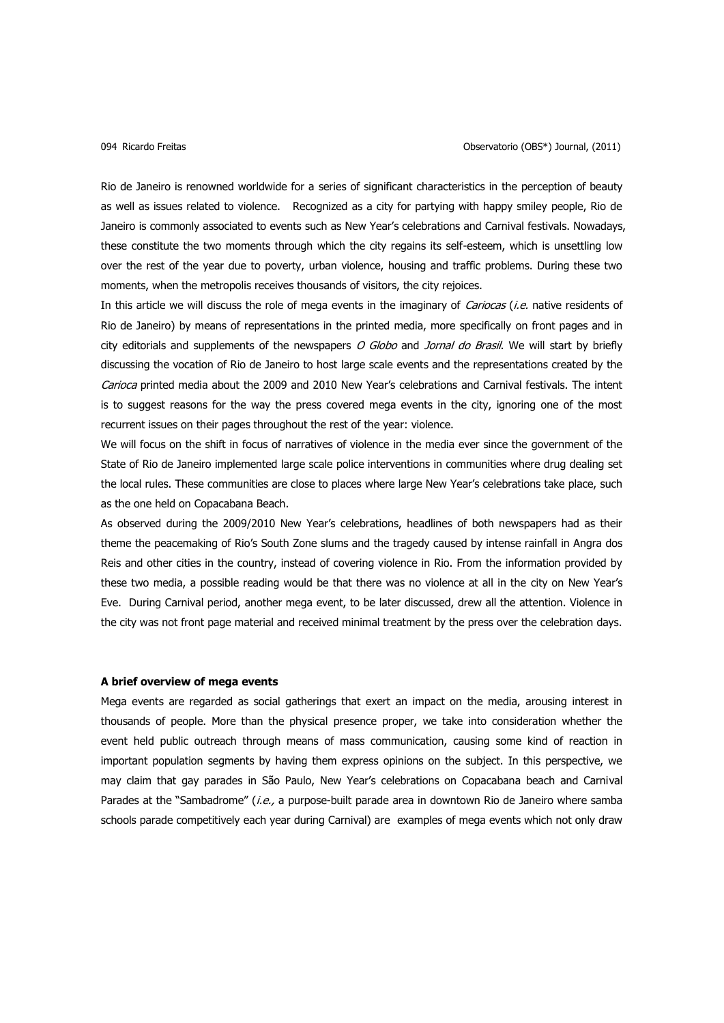Rio de Janeiro is renowned worldwide for a series of significant characteristics in the perception of beauty as well as issues related to violence. Recognized as a city for partying with happy smiley people, Rio de Janeiro is commonly associated to events such as New Year's celebrations and Carnival festivals. Nowadays, these constitute the two moments through which the city regains its self-esteem, which is unsettling low over the rest of the year due to poverty, urban violence, housing and traffic problems. During these two moments, when the metropolis receives thousands of visitors, the city rejoices.

In this article we will discuss the role of mega events in the imaginary of *Cariocas (i.e.* native residents of Rio de Janeiro) by means of representations in the printed media, more specifically on front pages and in city editorials and supplements of the newspapers  $O$  Globo and Jornal do Brasil. We will start by briefly discussing the vocation of Rio de Janeiro to host large scale events and the representations created by the Carioca printed media about the 2009 and 2010 New Year's celebrations and Carnival festivals. The intent is to suggest reasons for the way the press covered mega events in the city, ignoring one of the most recurrent issues on their pages throughout the rest of the year: violence.

We will focus on the shift in focus of narratives of violence in the media ever since the government of the State of Rio de Janeiro implemented large scale police interventions in communities where drug dealing set the local rules. These communities are close to places where large New Year's celebrations take place, such as the one held on Copacabana Beach.

As observed during the 2009/2010 New Year's celebrations, headlines of both newspapers had as their theme the peacemaking of Rio's South Zone slums and the tragedy caused by intense rainfall in Angra dos Reis and other cities in the country, instead of covering violence in Rio. From the information provided by these two media, a possible reading would be that there was no violence at all in the city on New Year's Eve. During Carnival period, another mega event, to be later discussed, drew all the attention. Violence in the city was not front page material and received minimal treatment by the press over the celebration days.

# **A brief overview of mega events**

Mega events are regarded as social gatherings that exert an impact on the media, arousing interest in thousands of people. More than the physical presence proper, we take into consideration whether the event held public outreach through means of mass communication, causing some kind of reaction in important population segments by having them express opinions on the subject. In this perspective, we may claim that gay parades in São Paulo, New Year's celebrations on Copacabana beach and Carnival Parades at the "Sambadrome" (i.e., a purpose-built parade area in downtown Rio de Janeiro where samba schools parade competitively each year during Carnival) are examples of mega events which not only draw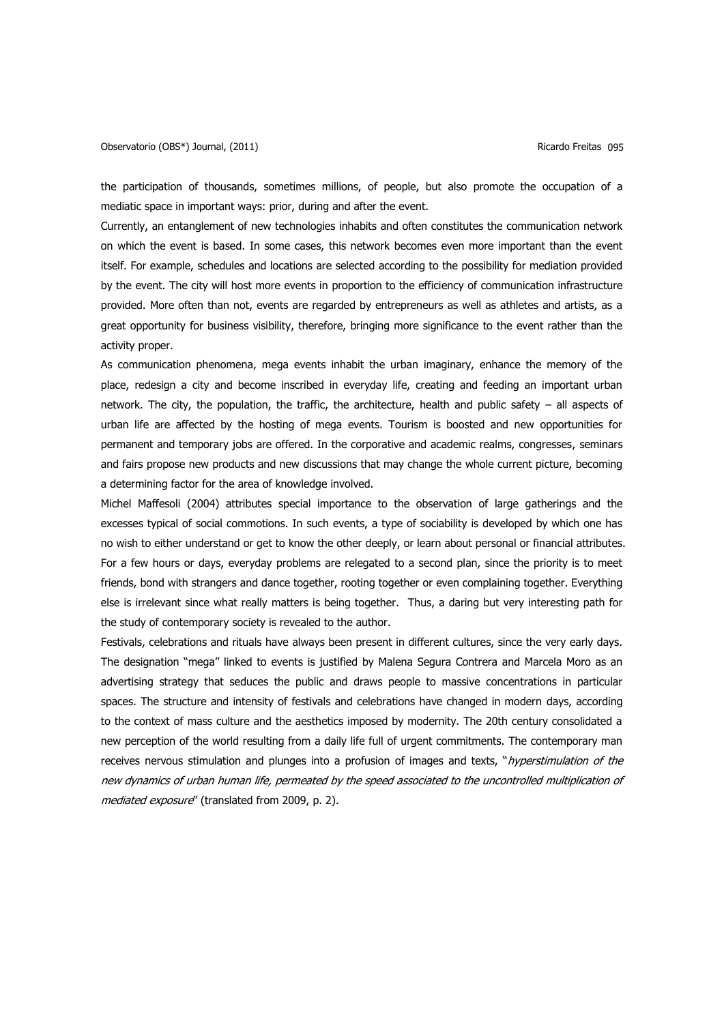the participation of thousands, sometimes millions, of people, but also promote the occupation of a mediatic space in important ways: prior, during and after the event.

Currently, an entanglement of new technologies inhabits and often constitutes the communication network on which the event is based. In some cases, this network becomes even more important than the event itself. For example, schedules and locations are selected according to the possibility for mediation provided by the event. The city will host more events in proportion to the efficiency of communication infrastructure provided. More often than not, events are regarded by entrepreneurs as well as athletes and artists, as a great opportunity for business visibility, therefore, bringing more significance to the event rather than the activity proper.

As communication phenomena, mega events inhabit the urban imaginary, enhance the memory of the place, redesign a city and become inscribed in everyday life, creating and feeding an important urban network. The city, the population, the traffic, the architecture, health and public safety – all aspects of urban life are affected by the hosting of mega events. Tourism is boosted and new opportunities for permanent and temporary jobs are offered. In the corporative and academic realms, congresses, seminars and fairs propose new products and new discussions that may change the whole current picture, becoming a determining factor for the area of knowledge involved.

Michel Maffesoli (2004) attributes special importance to the observation of large gatherings and the excesses typical of social commotions. In such events, a type of sociability is developed by which one has no wish to either understand or get to know the other deeply, or learn about personal or financial attributes. For a few hours or days, everyday problems are relegated to a second plan, since the priority is to meet friends, bond with strangers and dance together, rooting together or even complaining together. Everything else is irrelevant since what really matters is being together. Thus, a daring but very interesting path for the study of contemporary society is revealed to the author.

Festivals, celebrations and rituals have always been present in different cultures, since the very early days. The designation "mega" linked to events is justified by Malena Segura Contrera and Marcela Moro as an advertising strategy that seduces the public and draws people to massive concentrations in particular spaces. The structure and intensity of festivals and celebrations have changed in modern days, according to the context of mass culture and the aesthetics imposed by modernity. The 20th century consolidated a new perception of the world resulting from a daily life full of urgent commitments. The contemporary man receives nervous stimulation and plunges into a profusion of images and texts, "*hyperstimulation of the* new dynamics of urban human life, permeated by the speed associated to the uncontrolled multiplication of mediated exposure" (translated from 2009, p. 2).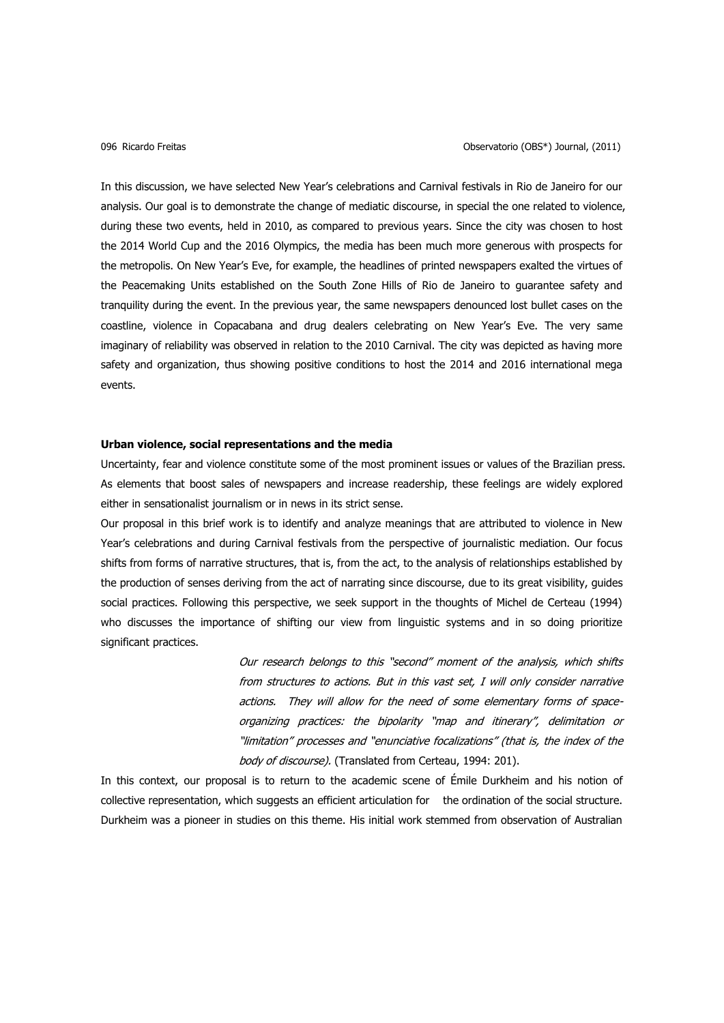In this discussion, we have selected New Year's celebrations and Carnival festivals in Rio de Janeiro for our analysis. Our goal is to demonstrate the change of mediatic discourse, in special the one related to violence, during these two events, held in 2010, as compared to previous years. Since the city was chosen to host the 2014 World Cup and the 2016 Olympics, the media has been much more generous with prospects for the metropolis. On New Year's Eve, for example, the headlines of printed newspapers exalted the virtues of the Peacemaking Units established on the South Zone Hills of Rio de Janeiro to guarantee safety and tranquility during the event. In the previous year, the same newspapers denounced lost bullet cases on the coastline, violence in Copacabana and drug dealers celebrating on New Year's Eve. The very same imaginary of reliability was observed in relation to the 2010 Carnival. The city was depicted as having more safety and organization, thus showing positive conditions to host the 2014 and 2016 international mega events.

# **Urban violence, social representations and the media**

Uncertainty, fear and violence constitute some of the most prominent issues or values of the Brazilian press. As elements that boost sales of newspapers and increase readership, these feelings are widely explored either in sensationalist journalism or in news in its strict sense.

Our proposal in this brief work is to identify and analyze meanings that are attributed to violence in New Year's celebrations and during Carnival festivals from the perspective of journalistic mediation. Our focus shifts from forms of narrative structures, that is, from the act, to the analysis of relationships established by the production of senses deriving from the act of narrating since discourse, due to its great visibility, guides social practices. Following this perspective, we seek support in the thoughts of Michel de Certeau (1994) who discusses the importance of shifting our view from linguistic systems and in so doing prioritize significant practices.

> Our research belongs to this "second" moment of the analysis, which shifts from structures to actions. But in this vast set, I will only consider narrative actions. They will allow for the need of some elementary forms of spaceorganizing practices: the bipolarity "map and itinerary", delimitation or "limitation" processes and "enunciative focalizations" (that is, the index of the body of discourse). (Translated from Certeau, 1994: 201).

In this context, our proposal is to return to the academic scene of Émile Durkheim and his notion of collective representation, which suggests an efficient articulation for the ordination of the social structure. Durkheim was a pioneer in studies on this theme. His initial work stemmed from observation of Australian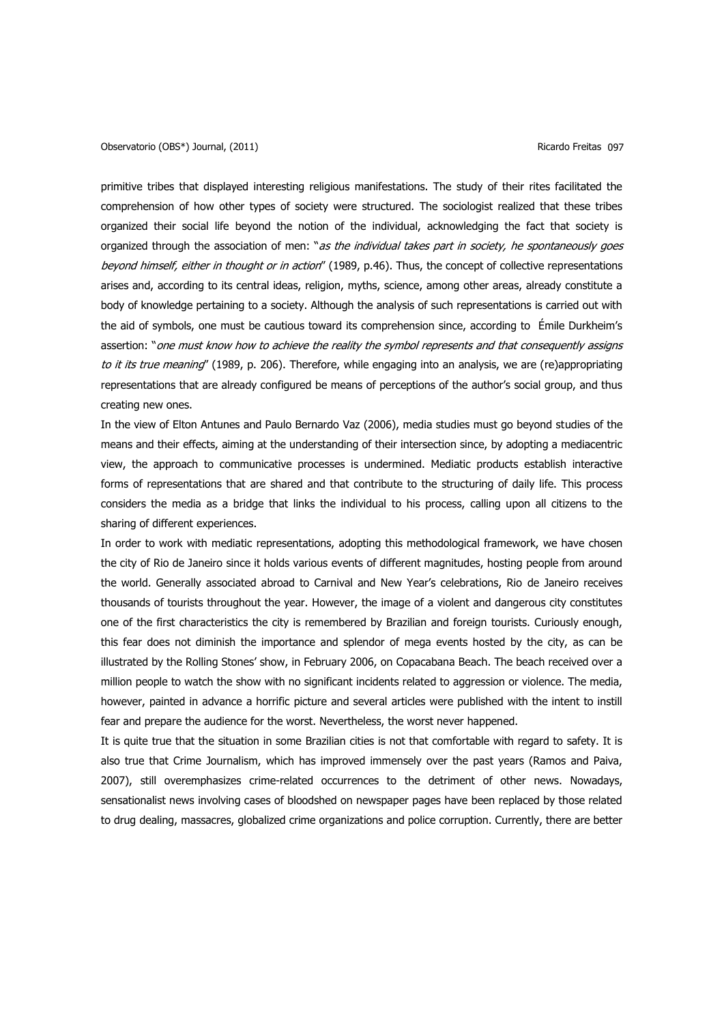primitive tribes that displayed interesting religious manifestations. The study of their rites facilitated the comprehension of how other types of society were structured. The sociologist realized that these tribes organized their social life beyond the notion of the individual, acknowledging the fact that society is organized through the association of men: "as the individual takes part in society, he spontaneously goes beyond himself, either in thought or in action" (1989, p.46). Thus, the concept of collective representations arises and, according to its central ideas, religion, myths, science, among other areas, already constitute a body of knowledge pertaining to a society. Although the analysis of such representations is carried out with the aid of symbols, one must be cautious toward its comprehension since, according to Émile Durkheim's assertion: "one must know how to achieve the reality the symbol represents and that consequently assigns to it its true meaning" (1989, p. 206). Therefore, while engaging into an analysis, we are (re)appropriating representations that are already configured be means of perceptions of the author's social group, and thus creating new ones.

In the view of Elton Antunes and Paulo Bernardo Vaz (2006), media studies must go beyond studies of the means and their effects, aiming at the understanding of their intersection since, by adopting a mediacentric view, the approach to communicative processes is undermined. Mediatic products establish interactive forms of representations that are shared and that contribute to the structuring of daily life. This process considers the media as a bridge that links the individual to his process, calling upon all citizens to the sharing of different experiences.

In order to work with mediatic representations, adopting this methodological framework, we have chosen the city of Rio de Janeiro since it holds various events of different magnitudes, hosting people from around the world. Generally associated abroad to Carnival and New Year's celebrations, Rio de Janeiro receives thousands of tourists throughout the year. However, the image of a violent and dangerous city constitutes one of the first characteristics the city is remembered by Brazilian and foreign tourists. Curiously enough, this fear does not diminish the importance and splendor of mega events hosted by the city, as can be illustrated by the Rolling Stones' show, in February 2006, on Copacabana Beach. The beach received over a million people to watch the show with no significant incidents related to aggression or violence. The media, however, painted in advance a horrific picture and several articles were published with the intent to instill fear and prepare the audience for the worst. Nevertheless, the worst never happened.

It is quite true that the situation in some Brazilian cities is not that comfortable with regard to safety. It is also true that Crime Journalism, which has improved immensely over the past years (Ramos and Paiva, 2007), still overemphasizes crime-related occurrences to the detriment of other news. Nowadays, sensationalist news involving cases of bloodshed on newspaper pages have been replaced by those related to drug dealing, massacres, globalized crime organizations and police corruption. Currently, there are better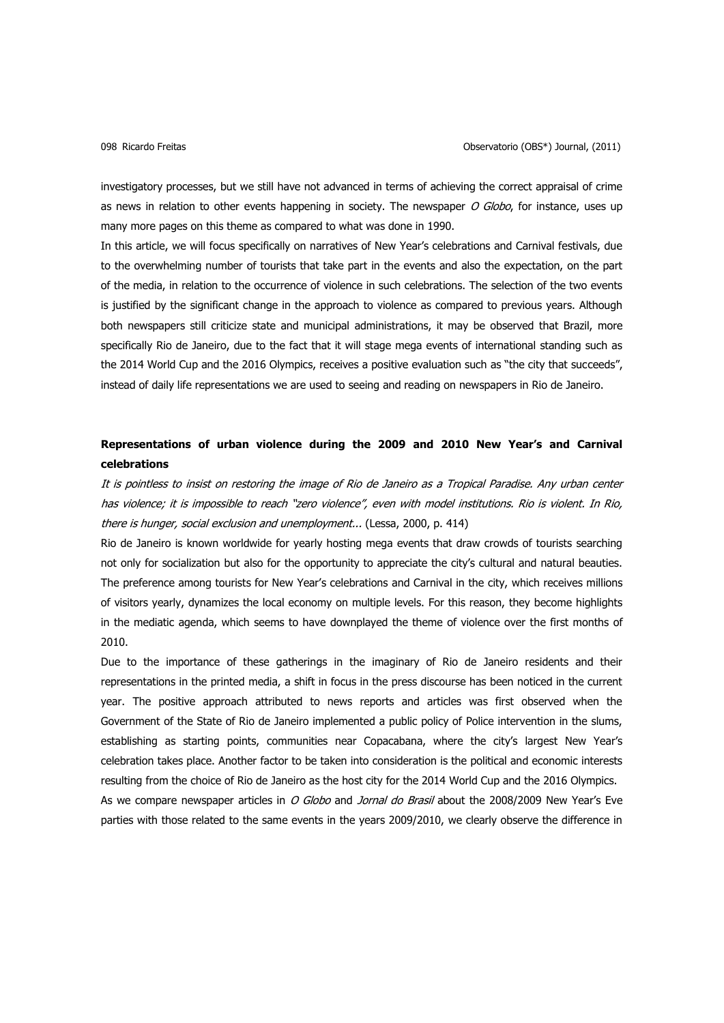investigatory processes, but we still have not advanced in terms of achieving the correct appraisal of crime as news in relation to other events happening in society. The newspaper O Globo, for instance, uses up many more pages on this theme as compared to what was done in 1990.

In this article, we will focus specifically on narratives of New Year's celebrations and Carnival festivals, due to the overwhelming number of tourists that take part in the events and also the expectation, on the part of the media, in relation to the occurrence of violence in such celebrations. The selection of the two events is justified by the significant change in the approach to violence as compared to previous years. Although both newspapers still criticize state and municipal administrations, it may be observed that Brazil, more specifically Rio de Janeiro, due to the fact that it will stage mega events of international standing such as the 2014 World Cup and the 2016 Olympics, receives a positive evaluation such as "the city that succeeds", instead of daily life representations we are used to seeing and reading on newspapers in Rio de Janeiro.

# **Representations of urban violence during the 2009 and 2010 New Year's and Carnival celebrations**

It is pointless to insist on restoring the image of Rio de Janeiro as a Tropical Paradise. Any urban center has violence; it is impossible to reach "zero violence", even with model institutions. Rio is violent. In Rio, there is hunger, social exclusion and unemployment... (Lessa, 2000, p. 414)

Rio de Janeiro is known worldwide for yearly hosting mega events that draw crowds of tourists searching not only for socialization but also for the opportunity to appreciate the city's cultural and natural beauties. The preference among tourists for New Year's celebrations and Carnival in the city, which receives millions of visitors yearly, dynamizes the local economy on multiple levels. For this reason, they become highlights in the mediatic agenda, which seems to have downplayed the theme of violence over the first months of 2010.

Due to the importance of these gatherings in the imaginary of Rio de Janeiro residents and their representations in the printed media, a shift in focus in the press discourse has been noticed in the current year. The positive approach attributed to news reports and articles was first observed when the Government of the State of Rio de Janeiro implemented a public policy of Police intervention in the slums, establishing as starting points, communities near Copacabana, where the city's largest New Year's celebration takes place. Another factor to be taken into consideration is the political and economic interests resulting from the choice of Rio de Janeiro as the host city for the 2014 World Cup and the 2016 Olympics. As we compare newspaper articles in O Globo and Jornal do Brasil about the 2008/2009 New Year's Eve parties with those related to the same events in the years 2009/2010, we clearly observe the difference in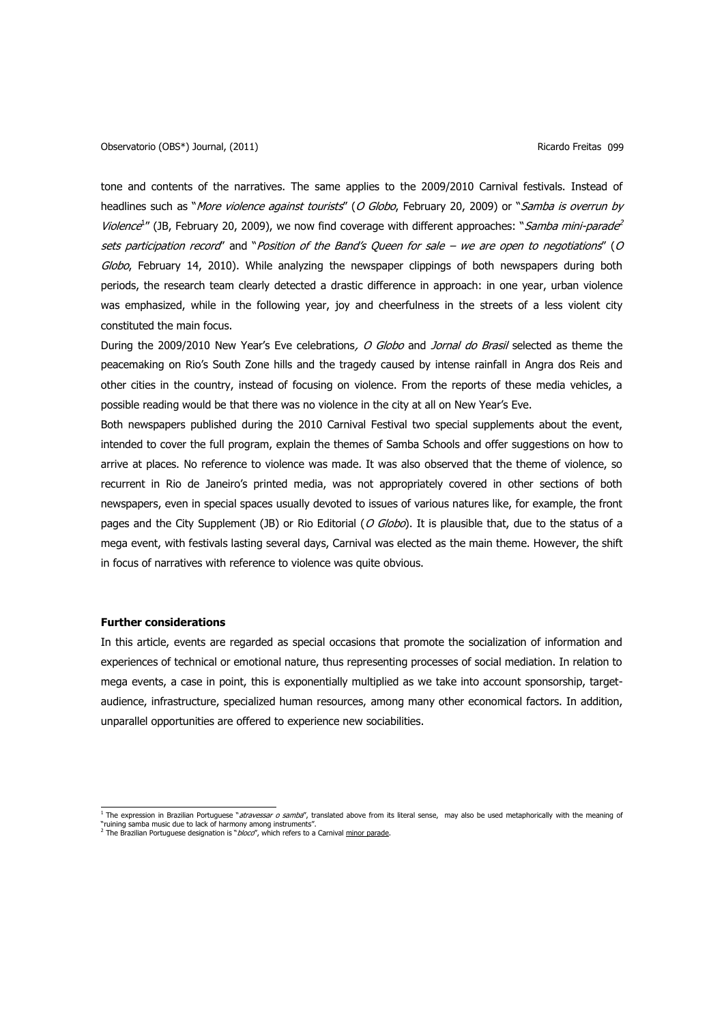tone and contents of the narratives. The same applies to the 2009/2010 Carnival festivals. Instead of headlines such as "More violence against tourists" (O Globo, February 20, 2009) or "Samba is overrun by Violence<sup>1</sup>" (JB, February 20, 2009), we now find coverage with different approaches: "Samba mini-parade<sup>2</sup> sets participation record" and "Position of the Band's Queen for sale – we are open to negotiations" (O Globo, February 14, 2010). While analyzing the newspaper clippings of both newspapers during both periods, the research team clearly detected a drastic difference in approach: in one year, urban violence was emphasized, while in the following year, joy and cheerfulness in the streets of a less violent city constituted the main focus.

During the 2009/2010 New Year's Eve celebrations, O Globo and Jornal do Brasil selected as theme the peacemaking on Rio's South Zone hills and the tragedy caused by intense rainfall in Angra dos Reis and other cities in the country, instead of focusing on violence. From the reports of these media vehicles, a possible reading would be that there was no violence in the city at all on New Year's Eve.

Both newspapers published during the 2010 Carnival Festival two special supplements about the event, intended to cover the full program, explain the themes of Samba Schools and offer suggestions on how to arrive at places. No reference to violence was made. It was also observed that the theme of violence, so recurrent in Rio de Janeiro's printed media, was not appropriately covered in other sections of both newspapers, even in special spaces usually devoted to issues of various natures like, for example, the front pages and the City Supplement (JB) or Rio Editorial (O Globo). It is plausible that, due to the status of a mega event, with festivals lasting several days, Carnival was elected as the main theme. However, the shift in focus of narratives with reference to violence was quite obvious.

### **Further considerations**

In this article, events are regarded as special occasions that promote the socialization of information and experiences of technical or emotional nature, thus representing processes of social mediation. In relation to mega events, a case in point, this is exponentially multiplied as we take into account sponsorship, targetaudience, infrastructure, specialized human resources, among many other economical factors. In addition, unparallel opportunities are offered to experience new sociabilities.

<sup>&</sup>lt;sup>1</sup> The expression in Brazilian Portuguese "*atravessar o samba"*, translated above from its literal sense, may also be used metaphorically with the meaning of "ruining samba music due to lack of harmony among instruments".<br><sup>2</sup> The Brazilian Portuguese designation is "*bloco*", which refers to a Carnival <u>minor parade</u>.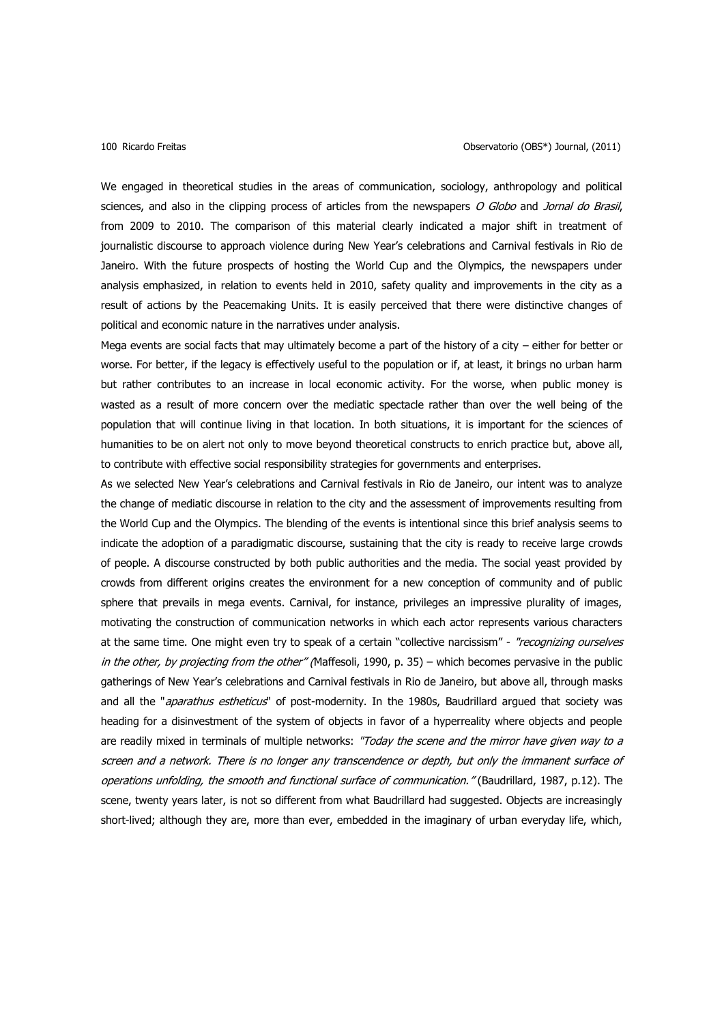### 100 Ricardo Freitas Observatorio (OBS\*) Journal, (2011)

We engaged in theoretical studies in the areas of communication, sociology, anthropology and political sciences, and also in the clipping process of articles from the newspapers O Globo and Jornal do Brasil, from 2009 to 2010. The comparison of this material clearly indicated a major shift in treatment of journalistic discourse to approach violence during New Year's celebrations and Carnival festivals in Rio de Janeiro. With the future prospects of hosting the World Cup and the Olympics, the newspapers under analysis emphasized, in relation to events held in 2010, safety quality and improvements in the city as a result of actions by the Peacemaking Units. It is easily perceived that there were distinctive changes of political and economic nature in the narratives under analysis.

Mega events are social facts that may ultimately become a part of the history of a city – either for better or worse. For better, if the legacy is effectively useful to the population or if, at least, it brings no urban harm but rather contributes to an increase in local economic activity. For the worse, when public money is wasted as a result of more concern over the mediatic spectacle rather than over the well being of the population that will continue living in that location. In both situations, it is important for the sciences of humanities to be on alert not only to move beyond theoretical constructs to enrich practice but, above all, to contribute with effective social responsibility strategies for governments and enterprises.

As we selected New Year's celebrations and Carnival festivals in Rio de Janeiro, our intent was to analyze the change of mediatic discourse in relation to the city and the assessment of improvements resulting from the World Cup and the Olympics. The blending of the events is intentional since this brief analysis seems to indicate the adoption of a paradigmatic discourse, sustaining that the city is ready to receive large crowds of people. A discourse constructed by both public authorities and the media. The social yeast provided by crowds from different origins creates the environment for a new conception of community and of public sphere that prevails in mega events. Carnival, for instance, privileges an impressive plurality of images, motivating the construction of communication networks in which each actor represents various characters at the same time. One might even try to speak of a certain "collective narcissism" - "recognizing ourselves in the other, by projecting from the other" (Maffesoli, 1990, p. 35) – which becomes pervasive in the public gatherings of New Year's celebrations and Carnival festivals in Rio de Janeiro, but above all, through masks and all the "aparathus estheticus" of post-modernity. In the 1980s, Baudrillard argued that society was heading for a disinvestment of the system of objects in favor of a hyperreality where objects and people are readily mixed in terminals of multiple networks: "Today the scene and the mirror have given way to a screen and a network. There is no longer any transcendence or depth, but only the immanent surface of operations unfolding, the smooth and functional surface of communication." (Baudrillard, 1987, p.12). The scene, twenty years later, is not so different from what Baudrillard had suggested. Objects are increasingly short-lived; although they are, more than ever, embedded in the imaginary of urban everyday life, which,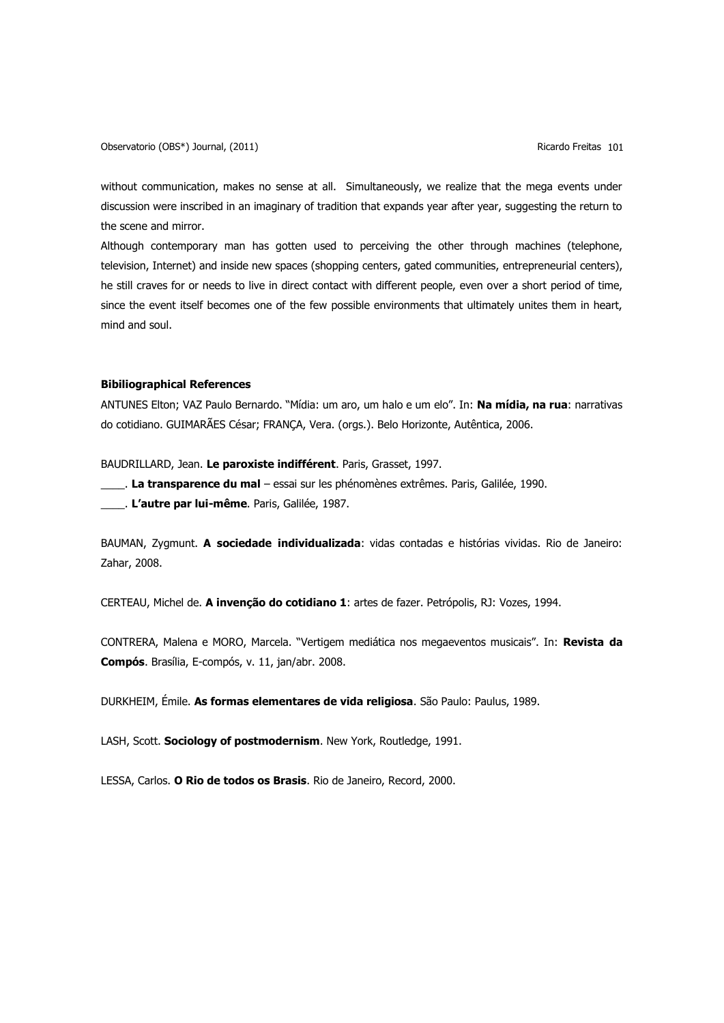Observatorio (OBS\*) Journal, (2011) 80 a.C. (2011) 80 a.C. (2011) Ricardo Freitas 101

without communication, makes no sense at all. Simultaneously, we realize that the mega events under discussion were inscribed in an imaginary of tradition that expands year after year, suggesting the return to the scene and mirror.

Although contemporary man has gotten used to perceiving the other through machines (telephone, television, Internet) and inside new spaces (shopping centers, gated communities, entrepreneurial centers), he still craves for or needs to live in direct contact with different people, even over a short period of time, since the event itself becomes one of the few possible environments that ultimately unites them in heart, mind and soul.

# **Bibiliographical References**

ANTUNES Elton; VAZ Paulo Bernardo. "Mídia: um aro, um halo e um elo". In: **Na mídia, na rua**: narrativas do cotidiano. GUIMARÃES César; FRANÇA, Vera. (orgs.). Belo Horizonte, Autêntica, 2006.

BAUDRILLARD, Jean. **Le paroxiste indifférent**. Paris, Grasset, 1997.

\_\_\_\_. **La transparence du mal** – essai sur les phénomènes extrêmes. Paris, Galilée, 1990.

\_\_\_\_. **L'autre par lui-même**. Paris, Galilée, 1987.

BAUMAN, Zygmunt. **A sociedade individualizada**: vidas contadas e histórias vividas. Rio de Janeiro: Zahar, 2008.

CERTEAU, Michel de. **A invenção do cotidiano 1**: artes de fazer. Petrópolis, RJ: Vozes, 1994.

CONTRERA, Malena e MORO, Marcela. "Vertigem mediática nos megaeventos musicais". In: **Revista da Compós**. Brasília, E-compós, v. 11, jan/abr. 2008.

DURKHEIM, Émile. **As formas elementares de vida religiosa**. São Paulo: Paulus, 1989.

LASH, Scott. **Sociology of postmodernism**. New York, Routledge, 1991.

LESSA, Carlos. **O Rio de todos os Brasis**. Rio de Janeiro, Record, 2000.